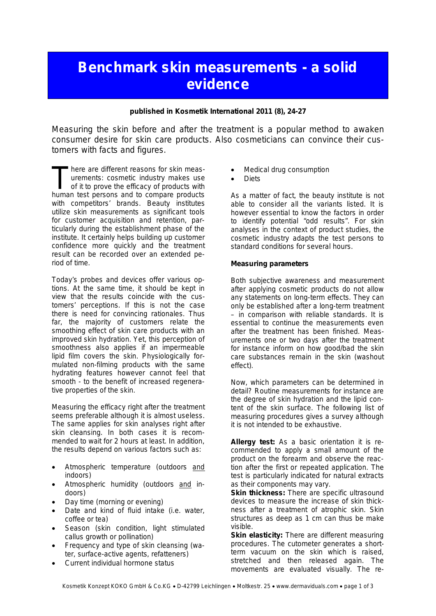## **Benchmark skin measurements - a solid evidence**

**published in Kosmetik International 2011 (8), 24-27**

Measuring the skin before and after the treatment is a popular method to awaken consumer desire for skin care products. Also cosmeticians can convince their customers with facts and figures.

here are different reasons for skin measurements: cosmetic industry makes use of it to prove the efficacy of products with There are different reasons for skin measurements: cosmetic industry makes use of it to prove the efficacy of products with human test persons and to compare products with competitors' brands. Beauty institutes utilize skin measurements as significant tools for customer acquisition and retention, particularly during the establishment phase of the institute. It certainly helps building up customer confidence more quickly and the treatment result can be recorded over an extended period of time.

Today's probes and devices offer various options. At the same time, it should be kept in view that the results coincide with the customers' perceptions. If this is not the case there is need for convincing rationales. Thus far, the majority of customers relate the smoothing effect of skin care products with an improved skin hydration. Yet, this perception of smoothness also applies if an impermeable lipid film covers the skin. Physiologically formulated non-filming products with the same hydrating features however cannot feel that smooth - to the benefit of increased regenerative properties of the skin.

Measuring the efficacy right after the treatment seems preferable although it is almost useless. The same applies for skin analyses right after skin cleansing. In both cases it is recommended to wait for 2 hours at least. In addition, the results depend on various factors such as:

- Atmospheric temperature (outdoors and indoors)
- Atmospheric humidity (outdoors and indoors)
- Day time (morning or evening)
- Date and kind of fluid intake (i.e. water, coffee or tea)
- Season (skin condition, light stimulated callus growth or pollination)
- Frequency and type of skin cleansing (water, surface-active agents, refatteners)
- Current individual hormone status
- Medical drug consumption
- **Diets**

As a matter of fact, the beauty institute is not able to consider all the variants listed. It is however essential to know the factors in order to identify potential "odd results". For skin analyses in the context of product studies, the cosmetic industry adapts the test persons to standard conditions for several hours.

**Measuring parameters**

Both subjective awareness and measurement after applying cosmetic products do not allow any statements on long-term effects. They can only be established after a long-term treatment – in comparison with reliable standards. It is essential to continue the measurements even after the treatment has been finished. Measurements one or two days after the treatment for instance inform on how good/bad the skin care substances remain in the skin (washout effect).

Now, which parameters can be determined in detail? Routine measurements for instance are the degree of skin hydration and the lipid content of the skin surface. The following list of measuring procedures gives a survey although it is not intended to be exhaustive.

**Allergy test:** As a basic orientation it is recommended to apply a small amount of the product on the forearm and observe the reaction after the first or repeated application. The test is particularly indicated for natural extracts as their components may vary.

**Skin thickness:** There are specific ultrasound devices to measure the increase of skin thickness after a treatment of atrophic skin. Skin structures as deep as 1 cm can thus be make visible.

**Skin elasticity:** There are different measuring procedures. The cutometer generates a shortterm vacuum on the skin which is raised, stretched and then released again. The movements are evaluated visually. The re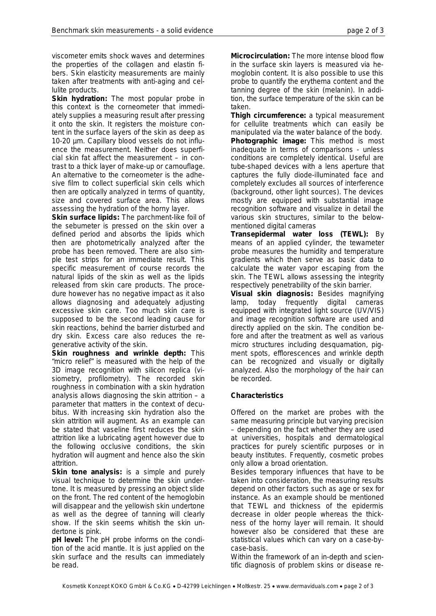viscometer emits shock waves and determines the properties of the collagen and elastin fibers. Skin elasticity measurements are mainly taken after treatments with anti-aging and cellulite products.

**Skin hydration:** The most popular probe in this context is the corneometer that immediately supplies a measuring result after pressing it onto the skin. It registers the moisture content in the surface layers of the skin as deep as 10-20 µm. Capillary blood vessels do not influence the measurement. Neither does superficial skin fat affect the measurement – in contrast to a thick layer of make-up or camouflage. An alternative to the corneometer is the adhesive film to collect superficial skin cells which then are optically analyzed in terms of quantity, size and covered surface area. This allows assessing the hydration of the horny layer.

**Skin surface lipids:** The parchment-like foil of the sebumeter is pressed on the skin over a defined period and absorbs the lipids which then are photometrically analyzed after the probe has been removed. There are also simple test strips for an immediate result. This specific measurement of course records the natural lipids of the skin as well as the lipids released from skin care products. The procedure however has no negative impact as it also allows diagnosing and adequately adjusting excessive skin care. Too much skin care is supposed to be the second leading cause for skin reactions, behind the barrier disturbed and dry skin. Excess care also reduces the regenerative activity of the skin.

**Skin roughness and wrinkle depth:** This "micro relief" is measured with the help of the 3D image recognition with silicon replica (visiometry, profilometry). The recorded skin roughness in combination with a skin hydration analysis allows diagnosing the skin attrition – a parameter that matters in the context of decubitus. With increasing skin hydration also the skin attrition will augment. As an example can be stated that vaseline first reduces the skin attrition like a lubricating agent however due to the following occlusive conditions, the skin hydration will augment and hence also the skin attrition.

**Skin tone analysis:** is a simple and purely visual technique to determine the skin undertone. It is measured by pressing an object slide on the front. The red content of the hemoglobin will disappear and the yellowish skin undertone as well as the degree of tanning will clearly show. If the skin seems whitish the skin undertone is pink.

**pH level:** The pH probe informs on the condition of the acid mantle. It is just applied on the skin surface and the results can immediately be read.

**Microcirculation:** The more intense blood flow in the surface skin layers is measured via hemoglobin content. It is also possible to use this probe to quantify the erythema content and the tanning degree of the skin (melanin). In addition, the surface temperature of the skin can be taken.

**Thigh circumference:** a typical measurement for cellulite treatments which can easily be manipulated via the water balance of the body. **Photographic image:** This method is most inadequate in terms of comparisons - unless conditions are completely identical. Useful are tube-shaped devices with a lens aperture that captures the fully diode-illuminated face and completely excludes all sources of interference (background, other light sources). The devices mostly are equipped with substantial image recognition software and visualize in detail the various skin structures, similar to the belowmentioned digital cameras

**Transepidermal water loss (TEWL):** By means of an applied cylinder, the tewameter probe measures the humidity and temperature gradients which then serve as basic data to calculate the water vapor escaping from the skin. The TEWL allows assessing the integrity respectively penetrability of the skin barrier.

**Visual skin diagnosis:** Besides magnifying lamp, today frequently digital cameras equipped with integrated light source (UV/VIS) and image recognition software are used and directly applied on the skin. The condition before and after the treatment as well as various micro structures including desquamation, pigment spots, efflorescences and wrinkle depth can be recognized and visually or digitally analyzed. Also the morphology of the hair can be recorded.

## **Characteristics**

Offered on the market are probes with the same measuring principle but varying precision – depending on the fact whether they are used at universities, hospitals and dermatological practices for purely scientific purposes or in beauty institutes. Frequently, cosmetic probes only allow a broad orientation.

Besides temporary influences that have to be taken into consideration, the measuring results depend on other factors such as age or sex for instance. As an example should be mentioned that TEWL and thickness of the epidermis decrease in older people whereas the thickness of the horny layer will remain. It should however also be considered that these are statistical values which can vary on a case-bycase-basis.

Within the framework of an in-depth and scientific diagnosis of problem skins or disease re